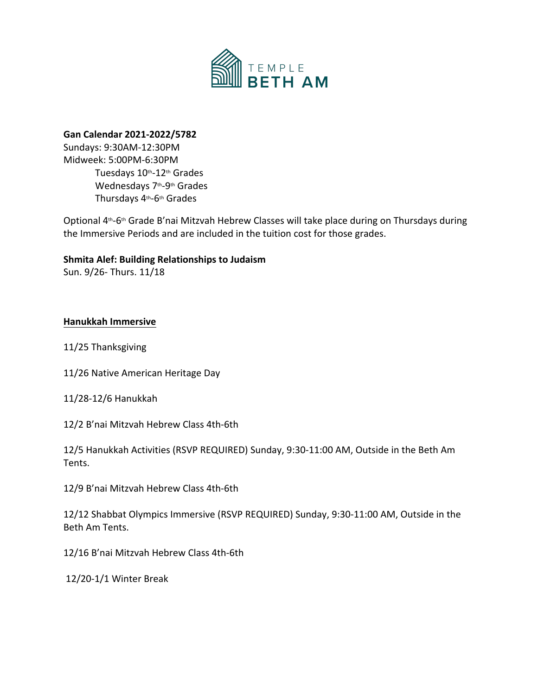

## **Gan Calendar 2021-2022/5782**

Sundays: 9:30AM-12:30PM Midweek: 5:00PM-6:30PM Tuesdays 10<sup>th</sup>-12<sup>th</sup> Grades Wednesdays 7<sup>th</sup>-9<sup>th</sup> Grades Thursdays 4<sup>th</sup>-6<sup>th</sup> Grades

Optional 4<sup>th</sup>-6<sup>th</sup> Grade B'nai Mitzvah Hebrew Classes will take place during on Thursdays during the Immersive Periods and are included in the tuition cost for those grades.

# **Shmita Alef: Building Relationships to Judaism**

Sun. 9/26- Thurs. 11/18

## **Hanukkah Immersive**

11/25 Thanksgiving

- 11/26 Native American Heritage Day
- 11/28-12/6 Hanukkah
- 12/2 B'nai Mitzvah Hebrew Class 4th-6th

12/5 Hanukkah Activities (RSVP REQUIRED) Sunday, 9:30-11:00 AM, Outside in the Beth Am Tents.

12/9 B'nai Mitzvah Hebrew Class 4th-6th

12/12 Shabbat Olympics Immersive (RSVP REQUIRED) Sunday, 9:30-11:00 AM, Outside in the Beth Am Tents.

12/16 B'nai Mitzvah Hebrew Class 4th-6th

12/20-1/1 Winter Break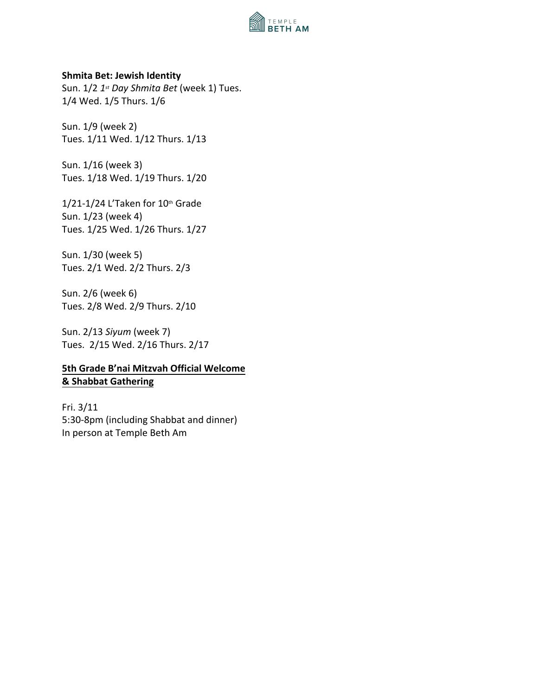

#### **Shmita Bet: Jewish Identity**

Sun. 1/2 *1 st Day Shmita Bet* (week 1) Tues. 1/4 Wed. 1/5 Thurs. 1/6

Sun. 1/9 (week 2) Tues. 1/11 Wed. 1/12 Thurs. 1/13

Sun. 1/16 (week 3) Tues. 1/18 Wed. 1/19 Thurs. 1/20

 $1/21 - 1/24$  L'Taken for  $10<sup>th</sup>$  Grade Sun. 1/23 (week 4) Tues. 1/25 Wed. 1/26 Thurs. 1/27

Sun. 1/30 (week 5) Tues. 2/1 Wed. 2/2 Thurs. 2/3

Sun. 2/6 (week 6) Tues. 2/8 Wed. 2/9 Thurs. 2/10

Sun. 2/13 *Siyum* (week 7) Tues. 2/15 Wed. 2/16 Thurs. 2/17

# **5th Grade B'nai Mitzvah Official Welcome & Shabbat Gathering**

Fri. 3/11 5:30-8pm (including Shabbat and dinner) In person at Temple Beth Am